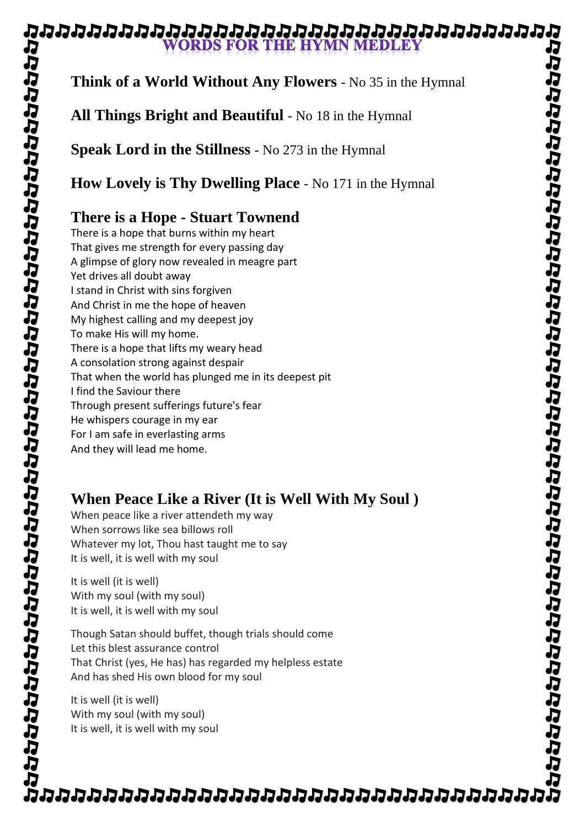#### ฉนฉนฉนฉนฉนฉนฉนฉนฉนฉนฉนฉนฉนฉนฉนฉน **WORDS FOR THE HYMN MEDLEY**

# **Think of a World Without Any Flowers** - No 35 in the Hymnal

**All Things Bright and Beautiful** - No 18 in the Hymnal

**Speak Lord in the Stillness** - No 273 in the Hymnal

**How Lovely is Thy Dwelling Place** - No 171 in the Hymnal

# **There is a Hope - Stuart Townend**

There is a hope that burns within my heart That gives me strength for every passing day A glimpse of glory now revealed in meagre part Yet drives all doubt away I stand in Christ with sins forgiven And Christ in me the hope of heaven My highest calling and my deepest joy To make His will my home. There is a hope that lifts my weary head A consolation strong against despair That when the world has plunged me in its deepest pit I find the Saviour there Through present sufferings future's fear He whispers courage in my ear For I am safe in everlasting arms And they will lead me home.

## **When Peace Like a River (It is Well With My Soul )**

When peace like a river attendeth my way When sorrows like sea billows roll Whatever my lot, Thou hast taught me to say It is well, it is well with my soul

It is well (it is well) With my soul (with my soul) It is well, it is well with my soul

Though Satan should buffet, though trials should come Let this blest assurance control That Christ (yes, He has) has regarded my helpless estate And has shed His own blood for my soul

It is well (it is well) With my soul (with my soul) It is well, it is well with my soul